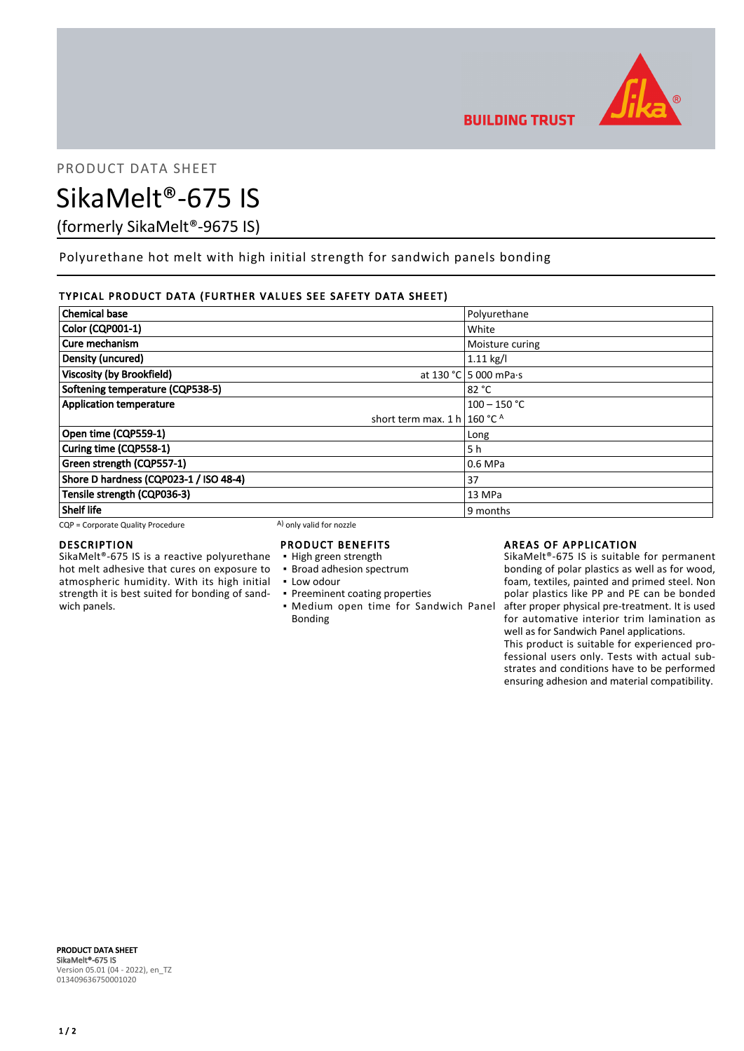

PRODUCT DATA SHEET

# SikaMelt®-675 IS

(formerly SikaMelt®-9675 IS)

Polyurethane hot melt with high initial strength for sandwich panels bonding

# TYPICAL PRODUCT DATA (FURTHER VALUES SEE SAFETY DATA SHEET)

| <b>Chemical base</b>                    | Polyurethane                  |
|-----------------------------------------|-------------------------------|
| Color (CQP001-1)                        | White                         |
| Cure mechanism                          | Moisture curing               |
| Density (uncured)                       | $1.11$ kg/l                   |
| <b>Viscosity (by Brookfield)</b>        | at 130 °C 5 000 mPa $\cdot$ s |
| Softening temperature (CQP538-5)        | 82 °C                         |
| <b>Application temperature</b>          | $100 - 150$ °C                |
| short term max. 1 h   160 °C $^{\circ}$ |                               |
| Open time (CQP559-1)                    | Long                          |
| Curing time (CQP558-1)                  | 5 h                           |
| Green strength (CQP557-1)               | 0.6 MPa                       |
| Shore D hardness (CQP023-1 / ISO 48-4)  | 37                            |
| Tensile strength (CQP036-3)             | 13 MPa                        |
| <b>Shelf life</b>                       | 9 months                      |

 $CQP =$  Corporate Quality Procedure  $(A)$  only valid for nozzle

### DESCRIPTION

SikaMelt®-675 IS is a reactive polyurethane hot melt adhesive that cures on exposure to atmospheric humidity. With its high initial strength it is best suited for bonding of sandwich panels.

# PRODUCT BENEFITS

- High green strength
- **· Broad adhesion spectrum**
- **Low odour**
- **Preeminent coating properties**
- **Medium open time for Sandwich Panel** Bonding

# AREAS OF APPLICATION

SikaMelt®-675 IS is suitable for permanent bonding of polar plastics as well as for wood, foam, textiles, painted and primed steel. Non polar plastics like PP and PE can be bonded after proper physical pre-treatment. It is used for automative interior trim lamination as well as for Sandwich Panel applications.

This product is suitable for experienced professional users only. Tests with actual substrates and conditions have to be performed ensuring adhesion and material compatibility.

PRODUCT DATA SHEET SikaMelt®-675 IS Version 05.01 (04 - 2022), en\_TZ 013409636750001020